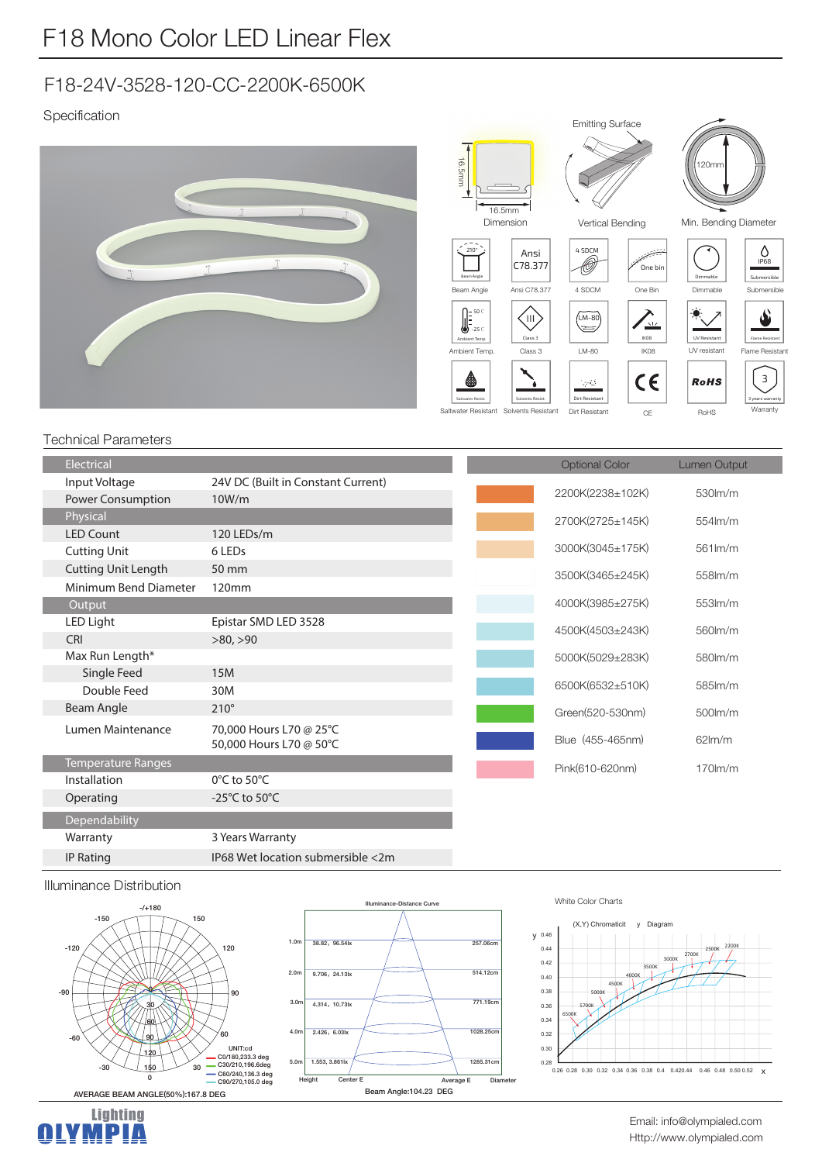# F18-24V-3528-120-CC-2200K-6500K

## Specification



### Technical Parameters

| Electrical                 |                                              |  | <b>Optional Color</b> | <b>Lumen Output</b>                                                                              |
|----------------------------|----------------------------------------------|--|-----------------------|--------------------------------------------------------------------------------------------------|
| Input Voltage              | 24V DC (Built in Constant Current)           |  |                       |                                                                                                  |
| Power Consumption          | 10W/m                                        |  |                       | 530lm/m                                                                                          |
| Physical                   |                                              |  | 2700K(2725±145K)      | 554lm/m                                                                                          |
| <b>LED Count</b>           | 120 LEDs/m                                   |  |                       |                                                                                                  |
| <b>Cutting Unit</b>        | 6 LEDs                                       |  |                       | 561lm/m                                                                                          |
| <b>Cutting Unit Length</b> | 50 mm                                        |  |                       | 558lm/m                                                                                          |
| Minimum Bend Diameter      | 120mm                                        |  |                       |                                                                                                  |
| Output                     |                                              |  | 4000K(3985±275K)      | 553lm/m                                                                                          |
| LED Light                  | Epistar SMD LED 3528                         |  | 4500K(4503±243K)      | 560lm/m                                                                                          |
| <b>CRI</b>                 | >80, >90                                     |  |                       |                                                                                                  |
|                            |                                              |  | 5000K(5029±283K)      | 580lm/m                                                                                          |
|                            | 15M                                          |  |                       |                                                                                                  |
| Double Feed                | 30M                                          |  |                       | 585lm/m                                                                                          |
|                            | $210^\circ$                                  |  | Green(520-530nm)      | $500$ $m/m$                                                                                      |
| Lumen Maintenance          | 70,000 Hours L70 @ 25°C                      |  |                       |                                                                                                  |
|                            | 50,000 Hours L70 @ 50°C                      |  |                       | $62$ m/m                                                                                         |
| <b>Temperature Ranges</b>  |                                              |  | Pink(610-620nm)       | $170$ m/m                                                                                        |
| Installation               | $0^{\circ}$ C to 50 $^{\circ}$ C             |  |                       |                                                                                                  |
| Operating                  | -25 $^{\circ}$ C to 50 $^{\circ}$ C          |  |                       |                                                                                                  |
| Dependability              |                                              |  |                       |                                                                                                  |
| Warranty                   | 3 Years Warranty                             |  |                       |                                                                                                  |
| <b>IP Rating</b>           | IP68 Wet location submersible <2m            |  |                       |                                                                                                  |
|                            | Max Run Length*<br>Single Feed<br>Beam Angle |  |                       | 2200K(2238±102K)<br>3000K(3045±175K)<br>3500K(3465±245K)<br>6500K(6532±510K)<br>Blue (455-465nm) |

#### Illuminance Distribution

Lighting<br>**MPIA** 

H.





#### White Color Charts



#### Http://www.olympialed.com Email: info@olympialed.com